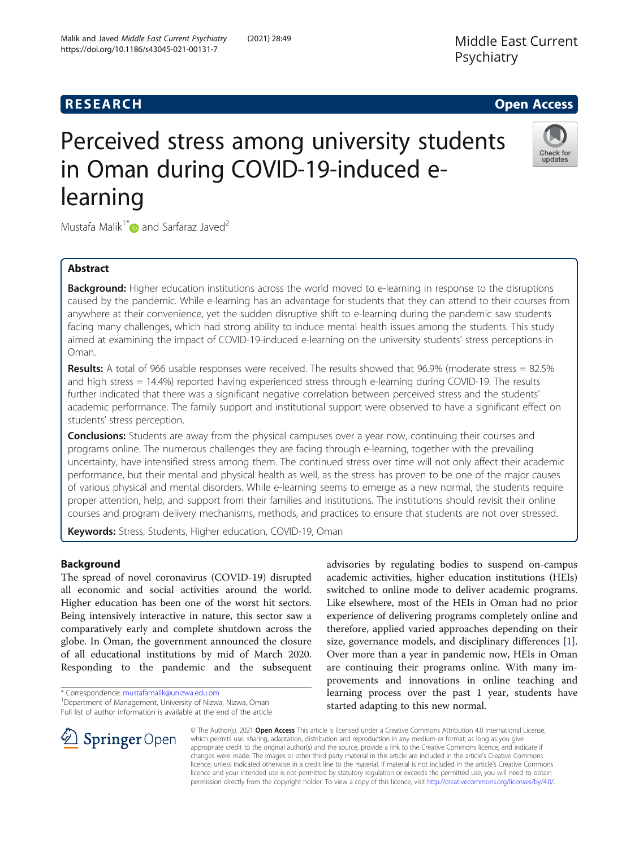## **RESEARCH CHE Open Access**

# Perceived stress among university students in Oman during COVID-19-induced elearning

Mustafa Malik<sup>1\*</sup> $\bullet$  and Sarfaraz Javed<sup>2</sup>

## Abstract

**Background:** Higher education institutions across the world moved to e-learning in response to the disruptions caused by the pandemic. While e-learning has an advantage for students that they can attend to their courses from anywhere at their convenience, yet the sudden disruptive shift to e-learning during the pandemic saw students facing many challenges, which had strong ability to induce mental health issues among the students. This study aimed at examining the impact of COVID-19-induced e-learning on the university students' stress perceptions in Oman.

Results: A total of 966 usable responses were received. The results showed that 96.9% (moderate stress = 82.5% and high stress = 14.4%) reported having experienced stress through e-learning during COVID-19. The results further indicated that there was a significant negative correlation between perceived stress and the students' academic performance. The family support and institutional support were observed to have a significant effect on students' stress perception.

**Conclusions:** Students are away from the physical campuses over a year now, continuing their courses and programs online. The numerous challenges they are facing through e-learning, together with the prevailing uncertainty, have intensified stress among them. The continued stress over time will not only affect their academic performance, but their mental and physical health as well, as the stress has proven to be one of the major causes of various physical and mental disorders. While e-learning seems to emerge as a new normal, the students require proper attention, help, and support from their families and institutions. The institutions should revisit their online courses and program delivery mechanisms, methods, and practices to ensure that students are not over stressed.

Keywords: Stress, Students, Higher education, COVID-19, Oman

## Background

The spread of novel coronavirus (COVID-19) disrupted all economic and social activities around the world. Higher education has been one of the worst hit sectors. Being intensively interactive in nature, this sector saw a comparatively early and complete shutdown across the globe. In Oman, the government announced the closure of all educational institutions by mid of March 2020. Responding to the pandemic and the subsequent

\* Correspondence: [mustafamalik@unizwa.edu.om](mailto:mustafamalik@unizwa.edu.om) <sup>1</sup>

 $\mathscr{L}$  Springer Open

Department of Management, University of Nizwa, Nizwa, Oman Full list of author information is available at the end of the article

academic activities, higher education institutions (HEIs) switched to online mode to deliver academic programs. Like elsewhere, most of the HEIs in Oman had no prior experience of delivering programs completely online and therefore, applied varied approaches depending on their size, governance models, and disciplinary differences [\[1](#page-6-0)]. Over more than a year in pandemic now, HEIs in Oman are continuing their programs online. With many improvements and innovations in online teaching and learning process over the past 1 year, students have started adapting to this new normal.

© The Author(s). 2021 Open Access This article is licensed under a Creative Commons Attribution 4.0 International License, which permits use, sharing, adaptation, distribution and reproduction in any medium or format, as long as you give appropriate credit to the original author(s) and the source, provide a link to the Creative Commons licence, and indicate if changes were made. The images or other third party material in this article are included in the article's Creative Commons licence, unless indicated otherwise in a credit line to the material. If material is not included in the article's Creative Commons licence and your intended use is not permitted by statutory regulation or exceeds the permitted use, you will need to obtain permission directly from the copyright holder. To view a copy of this licence, visit <http://creativecommons.org/licenses/by/4.0/>.





Middle East Current

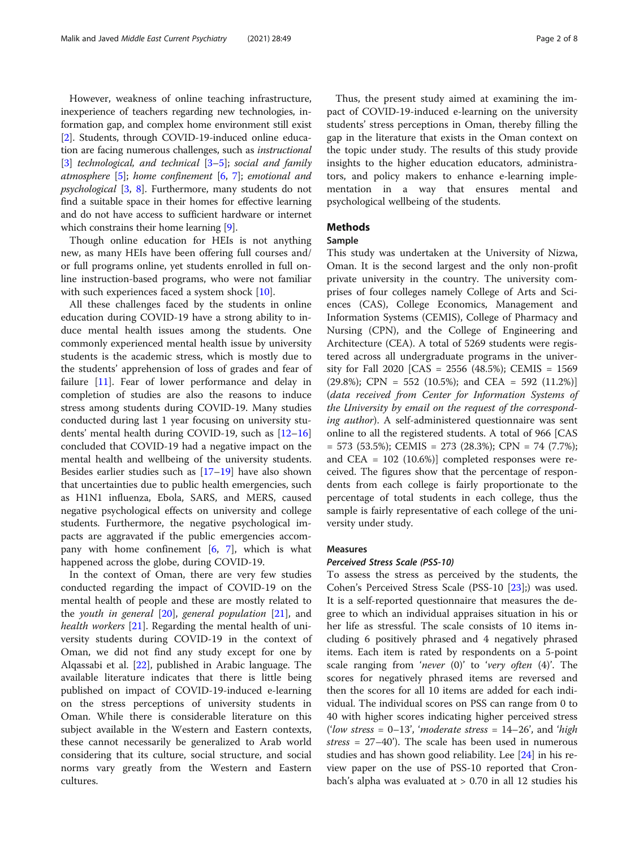However, weakness of online teaching infrastructure, inexperience of teachers regarding new technologies, information gap, and complex home environment still exist [[2\]](#page-7-0). Students, through COVID-19-induced online education are facing numerous challenges, such as instructional [[3\]](#page-7-0) technological, and technical [\[3](#page-7-0)–[5\]](#page-7-0); social and family atmosphere  $[5]$  $[5]$ ; home confinement  $[6, 7]$  $[6, 7]$  $[6, 7]$  $[6, 7]$ ; emotional and psychological [[3,](#page-7-0) [8\]](#page-7-0). Furthermore, many students do not find a suitable space in their homes for effective learning and do not have access to sufficient hardware or internet which constrains their home learning [[9](#page-7-0)].

Though online education for HEIs is not anything new, as many HEIs have been offering full courses and/ or full programs online, yet students enrolled in full online instruction-based programs, who were not familiar with such experiences faced a system shock [[10](#page-7-0)].

All these challenges faced by the students in online education during COVID-19 have a strong ability to induce mental health issues among the students. One commonly experienced mental health issue by university students is the academic stress, which is mostly due to the students' apprehension of loss of grades and fear of failure [\[11](#page-7-0)]. Fear of lower performance and delay in completion of studies are also the reasons to induce stress among students during COVID-19. Many studies conducted during last 1 year focusing on university students' mental health during COVID-19, such as [[12](#page-7-0)–[16](#page-7-0)] concluded that COVID-19 had a negative impact on the mental health and wellbeing of the university students. Besides earlier studies such as  $[17–19]$  $[17–19]$  $[17–19]$  $[17–19]$  $[17–19]$  have also shown that uncertainties due to public health emergencies, such as H1N1 influenza, Ebola, SARS, and MERS, caused negative psychological effects on university and college students. Furthermore, the negative psychological impacts are aggravated if the public emergencies accompany with home confinement [\[6](#page-7-0), [7](#page-7-0)], which is what happened across the globe, during COVID-19.

In the context of Oman, there are very few studies conducted regarding the impact of COVID-19 on the mental health of people and these are mostly related to the youth in general  $[20]$  $[20]$ , general population  $[21]$  $[21]$ , and health workers [[21\]](#page-7-0). Regarding the mental health of university students during COVID-19 in the context of Oman, we did not find any study except for one by Alqassabi et al. [[22\]](#page-7-0), published in Arabic language. The available literature indicates that there is little being published on impact of COVID-19-induced e-learning on the stress perceptions of university students in Oman. While there is considerable literature on this subject available in the Western and Eastern contexts, these cannot necessarily be generalized to Arab world considering that its culture, social structure, and social norms vary greatly from the Western and Eastern cultures.

Thus, the present study aimed at examining the impact of COVID-19-induced e-learning on the university students' stress perceptions in Oman, thereby filling the gap in the literature that exists in the Oman context on the topic under study. The results of this study provide insights to the higher education educators, administrators, and policy makers to enhance e-learning implementation in a way that ensures mental and psychological wellbeing of the students.

## **Methods**

## Sample

This study was undertaken at the University of Nizwa, Oman. It is the second largest and the only non-profit private university in the country. The university comprises of four colleges namely College of Arts and Sciences (CAS), College Economics, Management and Information Systems (CEMIS), College of Pharmacy and Nursing (CPN), and the College of Engineering and Architecture (CEA). A total of 5269 students were registered across all undergraduate programs in the university for Fall 2020 [CAS = 2556 (48.5%); CEMIS = 1569  $(29.8\%);$  CPN = 552 (10.5%); and CEA = 592 (11.2%)] (data received from Center for Information Systems of the University by email on the request of the corresponding author). A self-administered questionnaire was sent online to all the registered students. A total of 966 [CAS  $= 573$  (53.5%); CEMIS  $= 273$  (28.3%); CPN  $= 74$  (7.7%); and CEA = 102 (10.6%)] completed responses were received. The figures show that the percentage of respondents from each college is fairly proportionate to the percentage of total students in each college, thus the sample is fairly representative of each college of the university under study.

## Measures

#### Perceived Stress Scale (PSS-10)

To assess the stress as perceived by the students, the Cohen's Perceived Stress Scale (PSS-10 [\[23](#page-7-0)];) was used. It is a self-reported questionnaire that measures the degree to which an individual appraises situation in his or her life as stressful. The scale consists of 10 items including 6 positively phrased and 4 negatively phrased items. Each item is rated by respondents on a 5-point scale ranging from 'never (0)' to 'very often (4)'. The scores for negatively phrased items are reversed and then the scores for all 10 items are added for each individual. The individual scores on PSS can range from 0 to 40 with higher scores indicating higher perceived stress ('low stress =  $0-13'$ , 'moderate stress =  $14-26'$ , and 'high stress =  $27-40'$ ). The scale has been used in numerous studies and has shown good reliability. Lee [[24\]](#page-7-0) in his review paper on the use of PSS-10 reported that Cronbach's alpha was evaluated at > 0.70 in all 12 studies his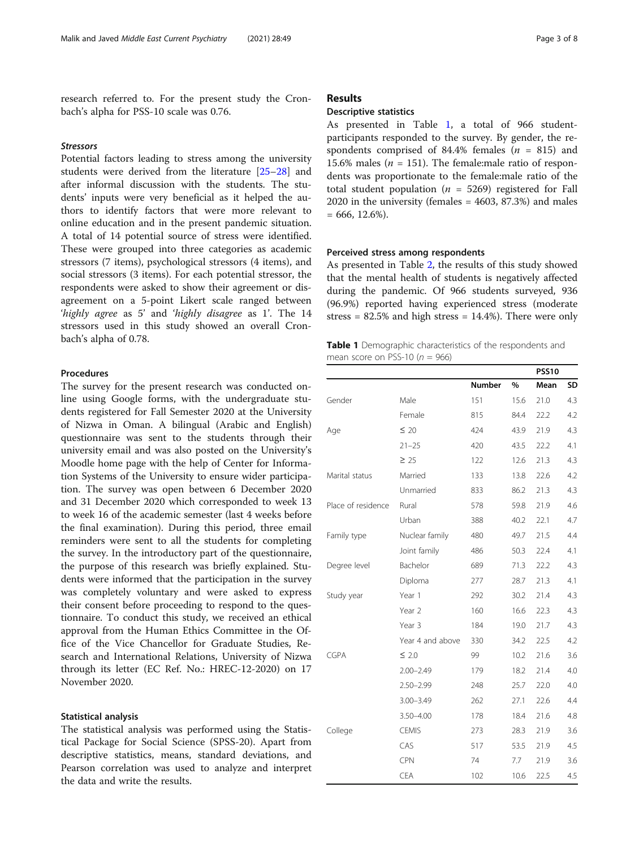<span id="page-2-0"></span>research referred to. For the present study the Cronbach's alpha for PSS-10 scale was 0.76.

#### Stressors

Potential factors leading to stress among the university students were derived from the literature [\[25](#page-7-0)–[28\]](#page-7-0) and after informal discussion with the students. The students' inputs were very beneficial as it helped the authors to identify factors that were more relevant to online education and in the present pandemic situation. A total of 14 potential source of stress were identified. These were grouped into three categories as academic stressors (7 items), psychological stressors (4 items), and social stressors (3 items). For each potential stressor, the respondents were asked to show their agreement or disagreement on a 5-point Likert scale ranged between 'highly agree as 5' and 'highly disagree as 1'. The 14 stressors used in this study showed an overall Cronbach's alpha of 0.78.

## Procedures

The survey for the present research was conducted online using Google forms, with the undergraduate students registered for Fall Semester 2020 at the University of Nizwa in Oman. A bilingual (Arabic and English) questionnaire was sent to the students through their university email and was also posted on the University's Moodle home page with the help of Center for Information Systems of the University to ensure wider participation. The survey was open between 6 December 2020 and 31 December 2020 which corresponded to week 13 to week 16 of the academic semester (last 4 weeks before the final examination). During this period, three email reminders were sent to all the students for completing the survey. In the introductory part of the questionnaire, the purpose of this research was briefly explained. Students were informed that the participation in the survey was completely voluntary and were asked to express their consent before proceeding to respond to the questionnaire. To conduct this study, we received an ethical approval from the Human Ethics Committee in the Office of the Vice Chancellor for Graduate Studies, Research and International Relations, University of Nizwa through its letter (EC Ref. No.: HREC-12-2020) on 17 November 2020.

#### Statistical analysis

The statistical analysis was performed using the Statistical Package for Social Science (SPSS-20). Apart from descriptive statistics, means, standard deviations, and Pearson correlation was used to analyze and interpret the data and write the results.

## Results

## Descriptive statistics

As presented in Table 1, a total of 966 studentparticipants responded to the survey. By gender, the respondents comprised of 84.4% females ( $n = 815$ ) and 15.6% males ( $n = 151$ ). The female:male ratio of respondents was proportionate to the female:male ratio of the total student population ( $n = 5269$ ) registered for Fall 2020 in the university (females = 4603, 87.3%) and males  $= 666, 12.6\%$ ).

#### Perceived stress among respondents

As presented in Table [2](#page-3-0), the results of this study showed that the mental health of students is negatively affected during the pandemic. Of 966 students surveyed, 936 (96.9%) reported having experienced stress (moderate stress =  $82.5\%$  and high stress =  $14.4\%$ ). There were only

| mean score on PSS-10 ( $n = 966$ )                                |  |
|-------------------------------------------------------------------|--|
| <b>Table 1</b> Demographic characteristics of the respondents and |  |

|                    |                  |        |      | <b>PSS10</b> |     |
|--------------------|------------------|--------|------|--------------|-----|
|                    |                  | Number | $\%$ | Mean         | SD  |
| Gender             | Male             | 151    | 15.6 | 21.0         | 4.3 |
|                    | Female           | 815    | 84.4 | 22.2         | 4.2 |
| Age                | $\leq 20$        | 424    | 43.9 | 21.9         | 4.3 |
|                    | $21 - 25$        | 420    | 43.5 | 22.2         | 4.1 |
|                    | $\geq 25$        | 122    | 12.6 | 21.3         | 4.3 |
| Marital status     | Married          | 133    | 13.8 | 22.6         | 4.2 |
|                    | Unmarried        | 833    | 86.2 | 21.3         | 4.3 |
| Place of residence | Rural            | 578    | 59.8 | 21.9         | 4.6 |
|                    | Urban            | 388    | 40.2 | 22.1         | 4.7 |
| Family type        | Nuclear family   | 480    | 49.7 | 21.5         | 4.4 |
|                    | Joint family     | 486    | 50.3 | 22.4         | 4.1 |
| Degree level       | Bachelor         | 689    | 71.3 | 22.2         | 4.3 |
|                    | Diploma          | 277    | 28.7 | 21.3         | 4.1 |
| Study year         | Year 1           | 292    | 30.2 | 21.4         | 4.3 |
|                    | Year 2           | 160    | 16.6 | 22.3         | 4.3 |
|                    | Year 3           | 184    | 19.0 | 21.7         | 4.3 |
|                    | Year 4 and above | 330    | 34.2 | 22.5         | 4.2 |
| <b>CGPA</b>        | $\leq 2.0$       | 99     | 10.2 | 21.6         | 3.6 |
|                    | $2.00 - 2.49$    | 179    | 18.2 | 21.4         | 4.0 |
|                    | $2.50 - 2.99$    | 248    | 25.7 | 22.0         | 4.0 |
|                    | $3.00 - 3.49$    | 262    | 27.1 | 22.6         | 4.4 |
|                    | $3.50 - 4.00$    | 178    | 18.4 | 21.6         | 4.8 |
| College            | <b>CEMIS</b>     | 273    | 28.3 | 21.9         | 3.6 |
|                    | CAS              | 517    | 53.5 | 21.9         | 4.5 |
|                    | <b>CPN</b>       | 74     | 7.7  | 21.9         | 3.6 |
|                    | <b>CEA</b>       | 102    | 10.6 | 22.5         | 4.5 |
|                    |                  |        |      |              |     |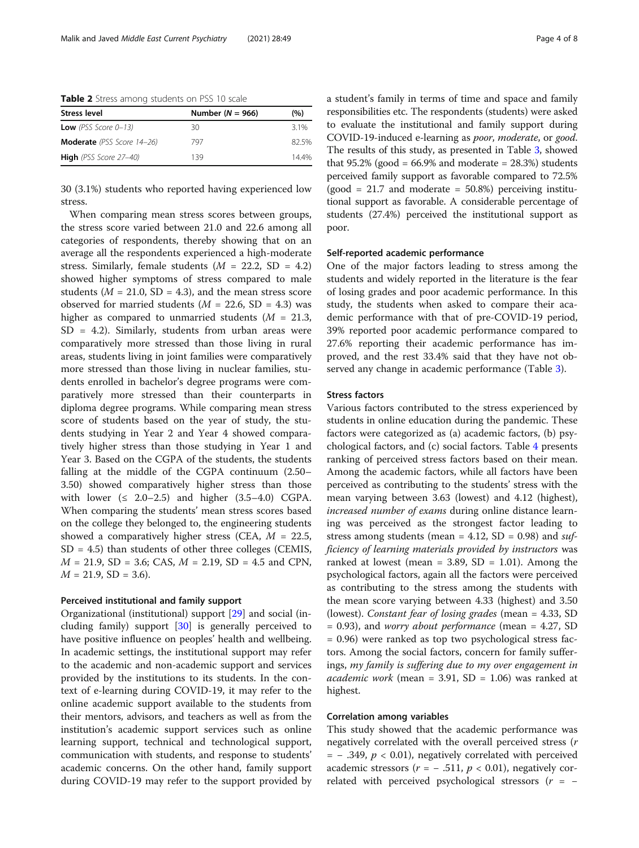<span id="page-3-0"></span>Table 2 Stress among students on PSS 10 scale

| Number ( $N = 966$ ) | (%)   |
|----------------------|-------|
| 30                   | 3.1%  |
| 797                  | 82.5% |
| 139                  | 14.4% |
|                      |       |

30 (3.1%) students who reported having experienced low stress.

When comparing mean stress scores between groups, the stress score varied between 21.0 and 22.6 among all categories of respondents, thereby showing that on an average all the respondents experienced a high-moderate stress. Similarly, female students  $(M = 22.2, SD = 4.2)$ showed higher symptoms of stress compared to male students ( $M = 21.0$ , SD = 4.3), and the mean stress score observed for married students ( $M = 22.6$ , SD = 4.3) was higher as compared to unmarried students  $(M = 21.3,$  $SD = 4.2$ ). Similarly, students from urban areas were comparatively more stressed than those living in rural areas, students living in joint families were comparatively more stressed than those living in nuclear families, students enrolled in bachelor's degree programs were comparatively more stressed than their counterparts in diploma degree programs. While comparing mean stress score of students based on the year of study, the students studying in Year 2 and Year 4 showed comparatively higher stress than those studying in Year 1 and Year 3. Based on the CGPA of the students, the students falling at the middle of the CGPA continuum (2.50– 3.50) showed comparatively higher stress than those with lower  $( \leq 2.0 - 2.5)$  and higher  $(3.5 - 4.0)$  CGPA. When comparing the students' mean stress scores based on the college they belonged to, the engineering students showed a comparatively higher stress (CEA,  $M = 22.5$ ,  $SD = 4.5$ ) than students of other three colleges (CEMIS,  $M = 21.9$ , SD = 3.6; CAS,  $M = 2.19$ , SD = 4.5 and CPN,  $M = 21.9$ , SD = 3.6).

#### Perceived institutional and family support

Organizational (institutional) support [\[29\]](#page-7-0) and social (including family) support [[30\]](#page-7-0) is generally perceived to have positive influence on peoples' health and wellbeing. In academic settings, the institutional support may refer to the academic and non-academic support and services provided by the institutions to its students. In the context of e-learning during COVID-19, it may refer to the online academic support available to the students from their mentors, advisors, and teachers as well as from the institution's academic support services such as online learning support, technical and technological support, communication with students, and response to students' academic concerns. On the other hand, family support during COVID-19 may refer to the support provided by a student's family in terms of time and space and family responsibilities etc. The respondents (students) were asked to evaluate the institutional and family support during COVID-19-induced e-learning as poor, moderate, or good. The results of this study, as presented in Table [3](#page-4-0), showed that  $95.2\%$  (good = 66.9% and moderate = 28.3%) students perceived family support as favorable compared to 72.5%  $(good = 21.7$  and moderate  $= 50.8\%$ ) perceiving institutional support as favorable. A considerable percentage of students (27.4%) perceived the institutional support as poor.

#### Self-reported academic performance

One of the major factors leading to stress among the students and widely reported in the literature is the fear of losing grades and poor academic performance. In this study, the students when asked to compare their academic performance with that of pre-COVID-19 period, 39% reported poor academic performance compared to 27.6% reporting their academic performance has improved, and the rest 33.4% said that they have not observed any change in academic performance (Table [3\)](#page-4-0).

## Stress factors

Various factors contributed to the stress experienced by students in online education during the pandemic. These factors were categorized as (a) academic factors, (b) psychological factors, and (c) social factors. Table [4](#page-4-0) presents ranking of perceived stress factors based on their mean. Among the academic factors, while all factors have been perceived as contributing to the students' stress with the mean varying between 3.63 (lowest) and 4.12 (highest), increased number of exams during online distance learning was perceived as the strongest factor leading to stress among students (mean =  $4.12$ , SD = 0.98) and sufficiency of learning materials provided by instructors was ranked at lowest (mean =  $3.89$ , SD =  $1.01$ ). Among the psychological factors, again all the factors were perceived as contributing to the stress among the students with the mean score varying between 4.33 (highest) and 3.50 (lowest). Constant fear of losing grades (mean = 4.33, SD  $= 0.93$ ), and *worry about performance* (mean  $= 4.27$ , SD = 0.96) were ranked as top two psychological stress factors. Among the social factors, concern for family sufferings, my family is suffering due to my over engagement in *academic work* (mean = 3.91, SD = 1.06) was ranked at highest.

### Correlation among variables

This study showed that the academic performance was negatively correlated with the overall perceived stress (r  $=$  - .349,  $p < 0.01$ ), negatively correlated with perceived academic stressors ( $r = -0.511$ ,  $p < 0.01$ ), negatively correlated with perceived psychological stressors  $(r = -$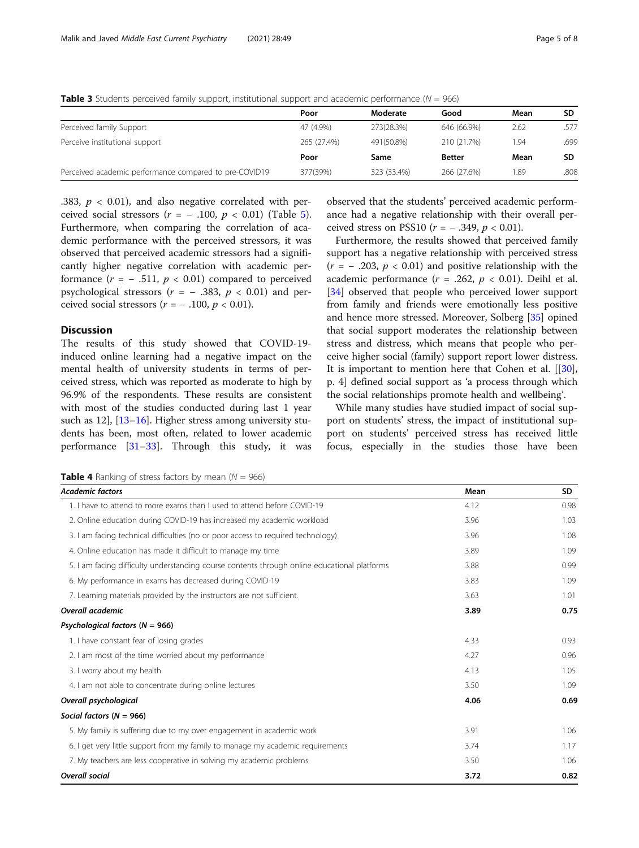<span id="page-4-0"></span>**Table 3** Students perceived family support, institutional support and academic performance ( $N = 966$ )

|                                                        | Poor        | Moderate    | Good          | Mean | <b>SD</b> |
|--------------------------------------------------------|-------------|-------------|---------------|------|-----------|
| Perceived family Support                               | 47 (4.9%)   | 273(28.3%)  | 646 (66.9%)   | 2.62 | 577       |
| Perceive institutional support                         | 265 (27.4%) | 491(50.8%)  | 210 (21.7%)   | 1.94 | .699      |
|                                                        | Poor        | Same        | <b>Better</b> | Mean | SD.       |
| Perceived academic performance compared to pre-COVID19 | 377(39%)    | 323 (33.4%) | 266 (27.6%)   | 1.89 | .808      |

.383,  $p < 0.01$ ), and also negative correlated with perceived social stressors ( $r = -0.100$ ,  $p < 0.01$ ) (Table [5](#page-5-0)). Furthermore, when comparing the correlation of academic performance with the perceived stressors, it was observed that perceived academic stressors had a significantly higher negative correlation with academic performance  $(r = -0.511, p < 0.01)$  compared to perceived psychological stressors ( $r = -0.383$ ,  $p < 0.01$ ) and perceived social stressors ( $r = -0.100$ ,  $p < 0.01$ ).

## **Discussion**

The results of this study showed that COVID-19 induced online learning had a negative impact on the mental health of university students in terms of perceived stress, which was reported as moderate to high by 96.9% of the respondents. These results are consistent with most of the studies conducted during last 1 year such as 12, [[13](#page-7-0)–[16](#page-7-0)]. Higher stress among university students has been, most often, related to lower academic performance [\[31](#page-7-0)–[33\]](#page-7-0). Through this study, it was

observed that the students' perceived academic performance had a negative relationship with their overall perceived stress on PSS10 ( $r = -0.349$ ,  $p < 0.01$ ).

Furthermore, the results showed that perceived family support has a negative relationship with perceived stress  $(r = -0.203, p < 0.01)$  and positive relationship with the academic performance  $(r = .262, p < 0.01)$ . Deihl et al. [[34\]](#page-7-0) observed that people who perceived lower support from family and friends were emotionally less positive and hence more stressed. Moreover, Solberg [\[35](#page-7-0)] opined that social support moderates the relationship between stress and distress, which means that people who perceive higher social (family) support report lower distress. It is important to mention here that Cohen et al. [[\[30](#page-7-0)], p. 4] defined social support as 'a process through which the social relationships promote health and wellbeing'.

While many studies have studied impact of social support on students' stress, the impact of institutional support on students' perceived stress has received little focus, especially in the studies those have been

**Table 4** Ranking of stress factors by mean ( $N = 966$ )

| <b>Academic factors</b>                                                                      | Mean | SD.  |
|----------------------------------------------------------------------------------------------|------|------|
| 1. I have to attend to more exams than I used to attend before COVID-19                      | 4.12 | 0.98 |
| 2. Online education during COVID-19 has increased my academic workload                       | 3.96 | 1.03 |
| 3. I am facing technical difficulties (no or poor access to required technology)             | 3.96 | 1.08 |
| 4. Online education has made it difficult to manage my time                                  | 3.89 | 1.09 |
| 5. I am facing difficulty understanding course contents through online educational platforms | 3.88 | 0.99 |
| 6. My performance in exams has decreased during COVID-19                                     | 3.83 | 1.09 |
| 7. Learning materials provided by the instructors are not sufficient.                        | 3.63 | 1.01 |
| Overall academic                                                                             | 3.89 | 0.75 |
| Psychological factors ( $N = 966$ )                                                          |      |      |
| 1. I have constant fear of losing grades                                                     | 4.33 | 0.93 |
| 2. I am most of the time worried about my performance                                        | 4.27 | 0.96 |
| 3. I worry about my health                                                                   | 4.13 | 1.05 |
| 4. I am not able to concentrate during online lectures                                       | 3.50 | 1.09 |
| Overall psychological                                                                        | 4.06 | 0.69 |
| Social factors ( $N = 966$ )                                                                 |      |      |
| 5. My family is suffering due to my over engagement in academic work                         | 3.91 | 1.06 |
| 6. I get very little support from my family to manage my academic requirements               | 3.74 | 1.17 |
| 7. My teachers are less cooperative in solving my academic problems                          | 3.50 | 1.06 |
| <b>Overall social</b>                                                                        | 3.72 | 0.82 |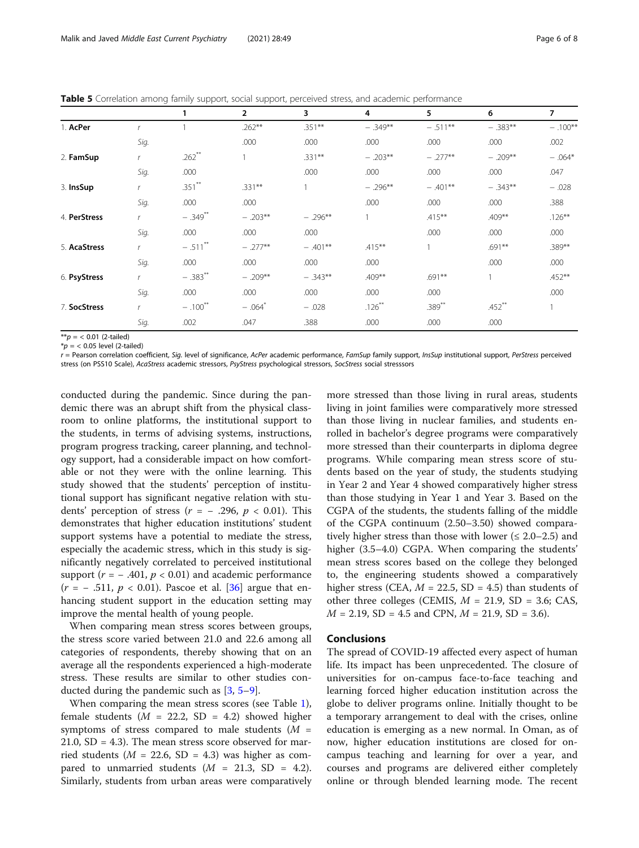<span id="page-5-0"></span>Table 5 Correlation among family support, social support, perceived stress, and academic performance

|              |      |                       | $\overline{2}$       | 3         | 4         | 5         | 6         | 7         |
|--------------|------|-----------------------|----------------------|-----------|-----------|-----------|-----------|-----------|
| 1. AcPer     |      |                       | $.262**$             | $.351***$ | $-.349**$ | $-.511**$ | $-.383**$ | $-.100**$ |
|              | Sig. |                       | .000                 | .000      | .000      | .000      | .000      | .002      |
| 2. FamSup    |      | $.262$ <sup>**</sup>  |                      | $.331***$ | $-.203**$ | $-.277**$ | $-.209**$ | $-.064*$  |
|              | Sig. | .000                  |                      | .000      | .000      | .000      | .000      | .047      |
| 3. InsSup    |      | $.351***$             | $.331***$            |           | $-.296**$ | $-.401**$ | $-.343**$ | $-.028$   |
|              | Sig. | .000                  | .000                 |           | .000      | .000      | .000      | .388      |
| 4. PerStress |      | $-.349$ **            | $-.203**$            | $-.296**$ |           | $.415***$ | $.409***$ | $.126***$ |
|              | Sig. | .000                  | .000                 | .000      |           | .000      | .000      | .000      |
| 5. AcaStress | r    | $-.511$ **            | $-.277**$            | $-.401**$ | $.415***$ |           | $.691**$  | $.389***$ |
|              | Sig. | .000                  | .000                 | .000      | .000      |           | .000      | .000      |
| 6. PsyStress | r    | $-.383$ <sup>**</sup> | $-.209**$            | $-.343**$ | .409**    | .691**    |           | $.452***$ |
|              | Sig. | .000                  | .000                 | .000      | .000      | .000      |           | .000      |
| 7. SocStress | r    | $-.100$ <sup>**</sup> | $-.064$ <sup>*</sup> | $-.028$   | $.126***$ | $.389***$ | $.452$ ** |           |
|              | Sig. | .002                  | .047                 | .388      | .000      | .000      | .000      |           |

 $**p = 0.01$  (2-tailed)

 $*p = 0.05$  level (2-tailed)

r = Pearson correlation coefficient, Sig. level of significance, AcPer academic performance, FamSup family support, InsSup institutional support, PerStress perceived stress (on PSS10 Scale), AcaStress academic stressors, PsyStress psychological stressors, SocStress social stresssors

conducted during the pandemic. Since during the pandemic there was an abrupt shift from the physical classroom to online platforms, the institutional support to the students, in terms of advising systems, instructions, program progress tracking, career planning, and technology support, had a considerable impact on how comfortable or not they were with the online learning. This study showed that the students' perception of institutional support has significant negative relation with students' perception of stress ( $r = -0.296$ ,  $p < 0.01$ ). This demonstrates that higher education institutions' student support systems have a potential to mediate the stress, especially the academic stress, which in this study is significantly negatively correlated to perceived institutional support ( $r = -0.401$ ,  $p < 0.01$ ) and academic performance  $(r = -0.511, p < 0.01)$ . Pascoe et al. [[36\]](#page-7-0) argue that enhancing student support in the education setting may improve the mental health of young people.

When comparing mean stress scores between groups, the stress score varied between 21.0 and 22.6 among all categories of respondents, thereby showing that on an average all the respondents experienced a high-moderate stress. These results are similar to other studies conducted during the pandemic such as [[3,](#page-7-0) [5](#page-7-0)–[9](#page-7-0)].

When comparing the mean stress scores (see Table [1](#page-2-0)), female students ( $M = 22.2$ , SD = 4.2) showed higher symptoms of stress compared to male students  $(M =$ 21.0,  $SD = 4.3$ ). The mean stress score observed for married students ( $M = 22.6$ , SD = 4.3) was higher as compared to unmarried students  $(M = 21.3, SD = 4.2)$ . Similarly, students from urban areas were comparatively

more stressed than those living in rural areas, students living in joint families were comparatively more stressed than those living in nuclear families, and students enrolled in bachelor's degree programs were comparatively more stressed than their counterparts in diploma degree programs. While comparing mean stress score of students based on the year of study, the students studying in Year 2 and Year 4 showed comparatively higher stress than those studying in Year 1 and Year 3. Based on the CGPA of the students, the students falling of the middle of the CGPA continuum (2.50–3.50) showed comparatively higher stress than those with lower ( $\leq 2.0-2.5$ ) and higher (3.5–4.0) CGPA. When comparing the students' mean stress scores based on the college they belonged to, the engineering students showed a comparatively higher stress (CEA,  $M = 22.5$ , SD = 4.5) than students of other three colleges (CEMIS,  $M = 21.9$ , SD = 3.6; CAS,  $M = 2.19$ , SD = 4.5 and CPN,  $M = 21.9$ , SD = 3.6).

## Conclusions

The spread of COVID-19 affected every aspect of human life. Its impact has been unprecedented. The closure of universities for on-campus face-to-face teaching and learning forced higher education institution across the globe to deliver programs online. Initially thought to be a temporary arrangement to deal with the crises, online education is emerging as a new normal. In Oman, as of now, higher education institutions are closed for oncampus teaching and learning for over a year, and courses and programs are delivered either completely online or through blended learning mode. The recent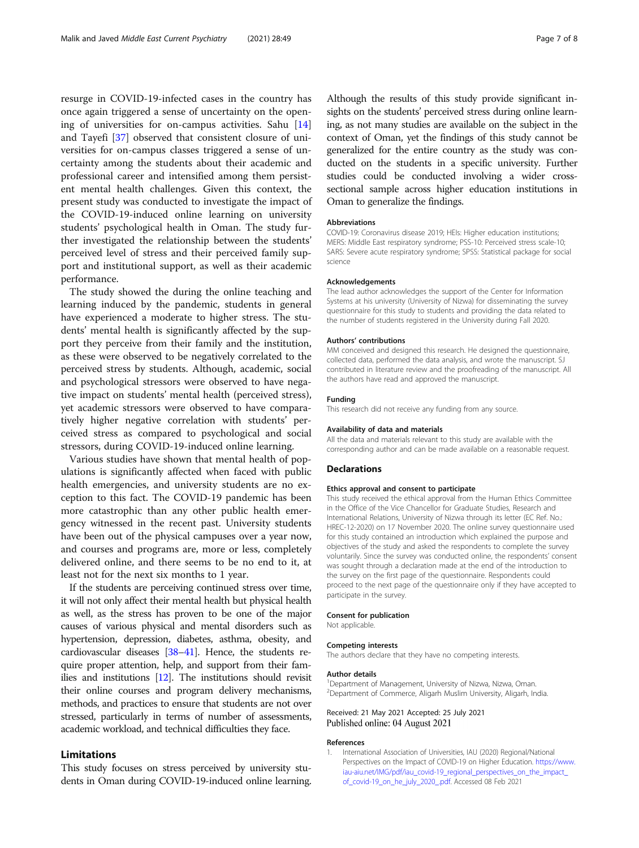<span id="page-6-0"></span>resurge in COVID-19-infected cases in the country has once again triggered a sense of uncertainty on the opening of universities for on-campus activities. Sahu [[14](#page-7-0)] and Tayefi [[37](#page-7-0)] observed that consistent closure of universities for on-campus classes triggered a sense of uncertainty among the students about their academic and professional career and intensified among them persistent mental health challenges. Given this context, the present study was conducted to investigate the impact of the COVID-19-induced online learning on university students' psychological health in Oman. The study further investigated the relationship between the students' perceived level of stress and their perceived family support and institutional support, as well as their academic performance.

The study showed the during the online teaching and learning induced by the pandemic, students in general have experienced a moderate to higher stress. The students' mental health is significantly affected by the support they perceive from their family and the institution, as these were observed to be negatively correlated to the perceived stress by students. Although, academic, social and psychological stressors were observed to have negative impact on students' mental health (perceived stress), yet academic stressors were observed to have comparatively higher negative correlation with students' perceived stress as compared to psychological and social stressors, during COVID-19-induced online learning.

Various studies have shown that mental health of populations is significantly affected when faced with public health emergencies, and university students are no exception to this fact. The COVID-19 pandemic has been more catastrophic than any other public health emergency witnessed in the recent past. University students have been out of the physical campuses over a year now, and courses and programs are, more or less, completely delivered online, and there seems to be no end to it, at least not for the next six months to 1 year.

If the students are perceiving continued stress over time, it will not only affect their mental health but physical health as well, as the stress has proven to be one of the major causes of various physical and mental disorders such as hypertension, depression, diabetes, asthma, obesity, and cardiovascular diseases [[38](#page-7-0)–[41](#page-7-0)]. Hence, the students require proper attention, help, and support from their families and institutions [\[12\]](#page-7-0). The institutions should revisit their online courses and program delivery mechanisms, methods, and practices to ensure that students are not over stressed, particularly in terms of number of assessments, academic workload, and technical difficulties they face.

## Limitations

This study focuses on stress perceived by university students in Oman during COVID-19-induced online learning. Although the results of this study provide significant insights on the students' perceived stress during online learning, as not many studies are available on the subject in the context of Oman, yet the findings of this study cannot be generalized for the entire country as the study was conducted on the students in a specific university. Further studies could be conducted involving a wider crosssectional sample across higher education institutions in Oman to generalize the findings.

#### Abbreviations

COVID-19: Coronavirus disease 2019; HEIs: Higher education institutions; MERS: Middle East respiratory syndrome; PSS-10: Perceived stress scale-10; SARS: Severe acute respiratory syndrome; SPSS: Statistical package for social science

#### Acknowledgements

The lead author acknowledges the support of the Center for Information Systems at his university (University of Nizwa) for disseminating the survey questionnaire for this study to students and providing the data related to the number of students registered in the University during Fall 2020.

#### Authors' contributions

MM conceived and designed this research. He designed the questionnaire, collected data, performed the data analysis, and wrote the manuscript. SJ contributed in literature review and the proofreading of the manuscript. All the authors have read and approved the manuscript.

#### Funding

This research did not receive any funding from any source.

#### Availability of data and materials

All the data and materials relevant to this study are available with the corresponding author and can be made available on a reasonable request.

#### Declarations

#### Ethics approval and consent to participate

This study received the ethical approval from the Human Ethics Committee in the Office of the Vice Chancellor for Graduate Studies, Research and International Relations, University of Nizwa through its letter (EC Ref. No.: HREC-12-2020) on 17 November 2020. The online survey questionnaire used for this study contained an introduction which explained the purpose and objectives of the study and asked the respondents to complete the survey voluntarily. Since the survey was conducted online, the respondents' consent was sought through a declaration made at the end of the introduction to the survey on the first page of the questionnaire. Respondents could proceed to the next page of the questionnaire only if they have accepted to participate in the survey.

#### Consent for publication

Not applicable.

#### Competing interests

The authors declare that they have no competing interests.

#### Author details

<sup>1</sup> Department of Management, University of Nizwa, Nizwa, Oman 2 Department of Commerce, Aligarh Muslim University, Aligarh, India.

Received: 21 May 2021 Accepted: 25 July 2021 Published online: 04 August 2021

#### References

1. International Association of Universities, IAU (2020) Regional/National Perspectives on the Impact of COVID-19 on Higher Education. [https://www.](https://www.iau-aiu.net/IMG/pdf/iau_covid-19_regional_perspectives_on_the_impact_of_covid-19_on_he_july_2020_.pdf) [iau-aiu.net/IMG/pdf/iau\\_covid-19\\_regional\\_perspectives\\_on\\_the\\_impact\\_](https://www.iau-aiu.net/IMG/pdf/iau_covid-19_regional_perspectives_on_the_impact_of_covid-19_on_he_july_2020_.pdf) [of\\_covid-19\\_on\\_he\\_july\\_2020\\_.pdf](https://www.iau-aiu.net/IMG/pdf/iau_covid-19_regional_perspectives_on_the_impact_of_covid-19_on_he_july_2020_.pdf). Accessed 08 Feb 2021